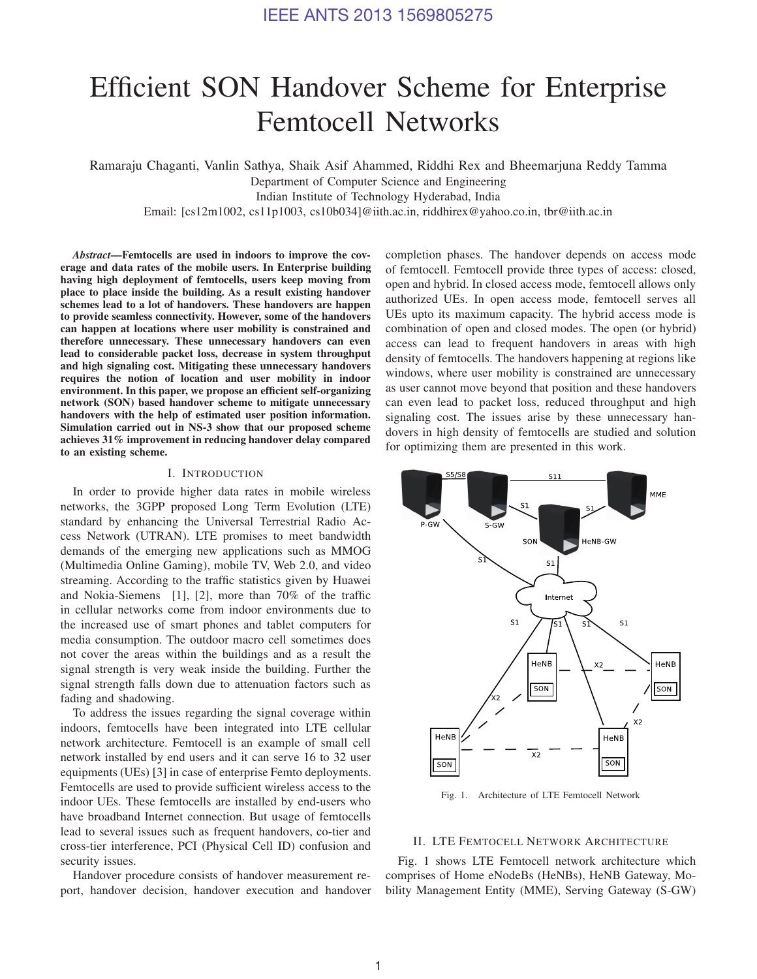# Efficient SON Handover Scheme for Enterprise Femtocell Networks

Ramaraju Chaganti, Vanlin Sathya, Shaik Asif Ahammed, Riddhi Rex and Bheemarjuna Reddy Tamma Department of Computer Science and Engineering Indian Institute of Technology Hyderabad, India Email:  $[cs12m1002, cs11p1003, cs10b034]@iith.ac.in, riddhirex@yahoo.co.in, tro@iith.ac.in)$ 

*Abstract*—Femtocells are used in indoors to improve the coverage and data rates of the mobile users. In Enterprise building having high deployment of femtocells, users keep moving from place to place inside the building. As a result existing handover schemes lead to a lot of handovers. These handovers are happen to provide seamless connectivity. However, some of the handovers can happen at locations where user mobility is constrained and therefore unnecessary. These unnecessary handovers can even lead to considerable packet loss, decrease in system throughput and high signaling cost. Mitigating these unnecessary handovers requires the notion of location and user mobility in indoor environment. In this paper, we propose an efficient self-organizing network (SON) based handover scheme to mitigate unnecessary handovers with the help of estimated user position information. Simulation carried out in NS-3 show that our proposed scheme achieves 31% improvement in reducing handover delay compared to an existing scheme.

### I. INTRODUCTION

In order to provide higher data rates in mobile wireless networks, the 3GPP proposed Long Term Evolution (LTE) standard by enhancing the Universal Terrestrial Radio Access Network (UTRAN). LTE promises to meet bandwidth demands of the emerging new applications such as MMOG (Multimedia Online Gaming), mobile TV, Web 2.0, and video streaming. According to the traffic statistics given by Huawei and Nokia-Siemens [1], [2], more than 70% of the traffic in cellular networks come from indoor environments due to the increased use of smart phones and tablet computers for media consumption. The outdoor macro cell sometimes does not cover the areas within the buildings and as a result the signal strength is very weak inside the building. Further the signal strength falls down due to attenuation factors such as fading and shadowing.

To address the issues regarding the signal coverage within indoors, femtocells have been integrated into LTE cellular network architecture. Femtocell is an example of small cell network installed by end users and it can serve 16 to 32 user equipments (UEs) [3] in case of enterprise Femto deployments. Femtocells are used to provide sufficient wireless access to the indoor UEs. These femtocells are installed by end-users who have broadband Internet connection. But usage of femtocells lead to several issues such as frequent handovers, co-tier and cross-tier interference, PCI (Physical Cell ID) confusion and security issues.

Handover procedure consists of handover measurement report, handover decision, handover execution and handover completion phases. The handover depends on access mode of femtocell. Femtocell provide three types of access: closed, open and hybrid. In closed access mode, femtocell allows only authorized UEs. In open access mode, femtocell serves all UEs upto its maximum capacity. The hybrid access mode is combination of open and closed modes. The open (or hybrid) access can lead to frequent handovers in areas with high density of femtocells. The handovers happening at regions like windows, where user mobility is constrained are unnecessary as user cannot move beyond that position and these handovers can even lead to packet loss, reduced throughput and high signaling cost. The issues arise by these unnecessary handovers in high density of femtocells are studied and solution for optimizing them are presented in this work.



Fig. 1. Architecture of LTE Femtocell Network

#### II. LTE FEMTOCELL NETWORK ARCHITECTURE

Fig. 1 shows LTE Femtocell network architecture which comprises of Home eNodeBs (HeNBs), HeNB Gateway, Mobility Management Entity (MME), Serving Gateway (S-GW)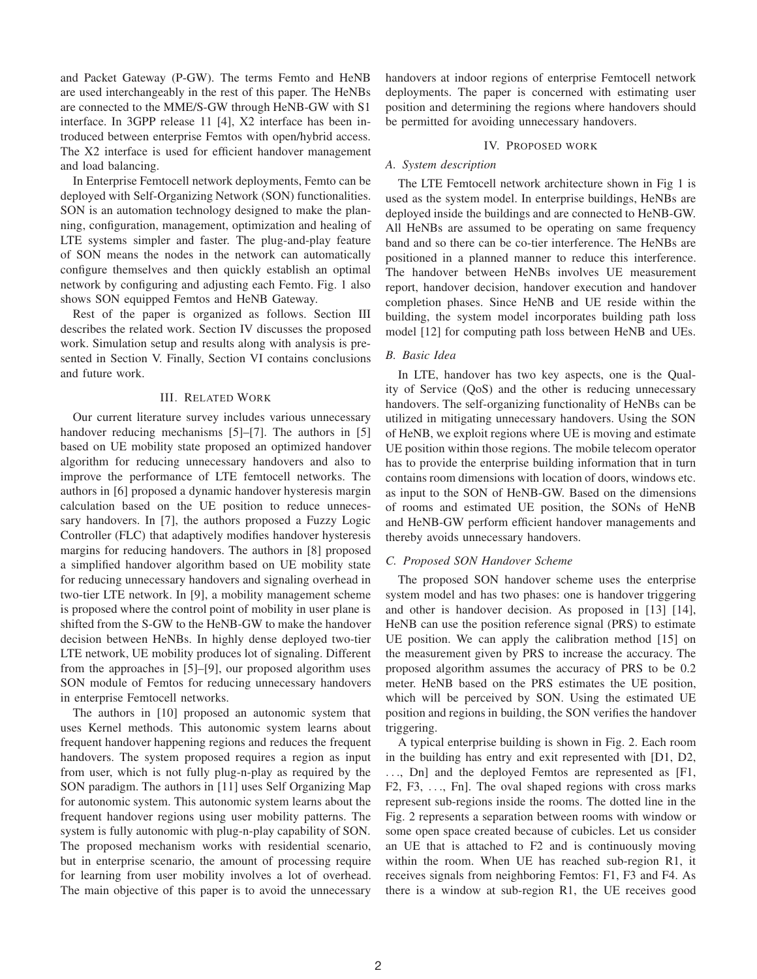and Packet Gateway (P-GW). The terms Femto and HeNB are used interchangeably in the rest of this paper. The HeNBs are connected to the MME/S-GW through HeNB-GW with S1 interface. In 3GPP release 11 [4], X2 interface has been introduced between enterprise Femtos with open/hybrid access. The X2 interface is used for efficient handover management and load balancing.

In Enterprise Femtocell network deployments, Femto can be deployed with Self-Organizing Network (SON) functionalities. SON is an automation technology designed to make the planning, configuration, management, optimization and healing of LTE systems simpler and faster. The plug-and-play feature of SON means the nodes in the network can automatically configure themselves and then quickly establish an optimal network by configuring and adjusting each Femto. Fig. 1 also shows SON equipped Femtos and HeNB Gateway.

Rest of the paper is organized as follows. Section III describes the related work. Section IV discusses the proposed work. Simulation setup and results along with analysis is presented in Section V. Finally, Section VI contains conclusions and future work.

#### III. RELATED WORK

Our current literature survey includes various unnecessary handover reducing mechanisms [5]–[7]. The authors in [5] based on UE mobility state proposed an optimized handover algorithm for reducing unnecessary handovers and also to improve the performance of LTE femtocell networks. The authors in [6] proposed a dynamic handover hysteresis margin calculation based on the UE position to reduce unnecessary handovers. In [7], the authors proposed a Fuzzy Logic Controller (FLC) that adaptively modifies handover hysteresis margins for reducing handovers. The authors in [8] proposed a simplified handover algorithm based on UE mobility state for reducing unnecessary handovers and signaling overhead in two-tier LTE network. In [9], a mobility management scheme is proposed where the control point of mobility in user plane is shifted from the S-GW to the HeNB-GW to make the handover decision between HeNBs. In highly dense deployed two-tier LTE network, UE mobility produces lot of signaling. Different from the approaches in [5]–[9], our proposed algorithm uses SON module of Femtos for reducing unnecessary handovers in enterprise Femtocell networks.

The authors in [10] proposed an autonomic system that uses Kernel methods. This autonomic system learns about frequent handover happening regions and reduces the frequent handovers. The system proposed requires a region as input from user, which is not fully plug-n-play as required by the SON paradigm. The authors in [11] uses Self Organizing Map for autonomic system. This autonomic system learns about the frequent handover regions using user mobility patterns. The system is fully autonomic with plug-n-play capability of SON. The proposed mechanism works with residential scenario, but in enterprise scenario, the amount of processing require for learning from user mobility involves a lot of overhead. The main objective of this paper is to avoid the unnecessary handovers at indoor regions of enterprise Femtocell network deployments. The paper is concerned with estimating user position and determining the regions where handovers should be permitted for avoiding unnecessary handovers.

## IV. PROPOSED WORK

#### *A. System description*

The LTE Femtocell network architecture shown in Fig 1 is used as the system model. In enterprise buildings, HeNBs are deployed inside the buildings and are connected to HeNB-GW. All HeNBs are assumed to be operating on same frequency band and so there can be co-tier interference. The HeNBs are positioned in a planned manner to reduce this interference. The handover between HeNBs involves UE measurement report, handover decision, handover execution and handover completion phases. Since HeNB and UE reside within the building, the system model incorporates building path loss model [12] for computing path loss between HeNB and UEs.

# *B. Basic Idea*

In LTE, handover has two key aspects, one is the Quality of Service (QoS) and the other is reducing unnecessary handovers. The self-organizing functionality of HeNBs can be utilized in mitigating unnecessary handovers. Using the SON of HeNB, we exploit regions where UE is moving and estimate UE position within those regions. The mobile telecom operator has to provide the enterprise building information that in turn contains room dimensions with location of doors, windows etc. as input to the SON of HeNB-GW. Based on the dimensions of rooms and estimated UE position, the SONs of HeNB and HeNB-GW perform efficient handover managements and thereby avoids unnecessary handovers.

#### *C. Proposed SON Handover Scheme*

The proposed SON handover scheme uses the enterprise system model and has two phases: one is handover triggering and other is handover decision. As proposed in [13] [14], HeNB can use the position reference signal (PRS) to estimate UE position. We can apply the calibration method [15] on the measurement given by PRS to increase the accuracy. The proposed algorithm assumes the accuracy of PRS to be 0.2 meter. HeNB based on the PRS estimates the UE position, which will be perceived by SON. Using the estimated UE position and regions in building, the SON verifies the handover triggering.

A typical enterprise building is shown in Fig. 2. Each room in the building has entry and exit represented with [D1, D2, ..., Dn] and the deployed Femtos are represented as [F1, F2, F3, ..., Fn]. The oval shaped regions with cross marks represent sub-regions inside the rooms. The dotted line in the Fig. 2 represents a separation between rooms with window or some open space created because of cubicles. Let us consider an UE that is attached to F2 and is continuously moving within the room. When UE has reached sub-region R1, it receives signals from neighboring Femtos: F1, F3 and F4. As there is a window at sub-region R1, the UE receives good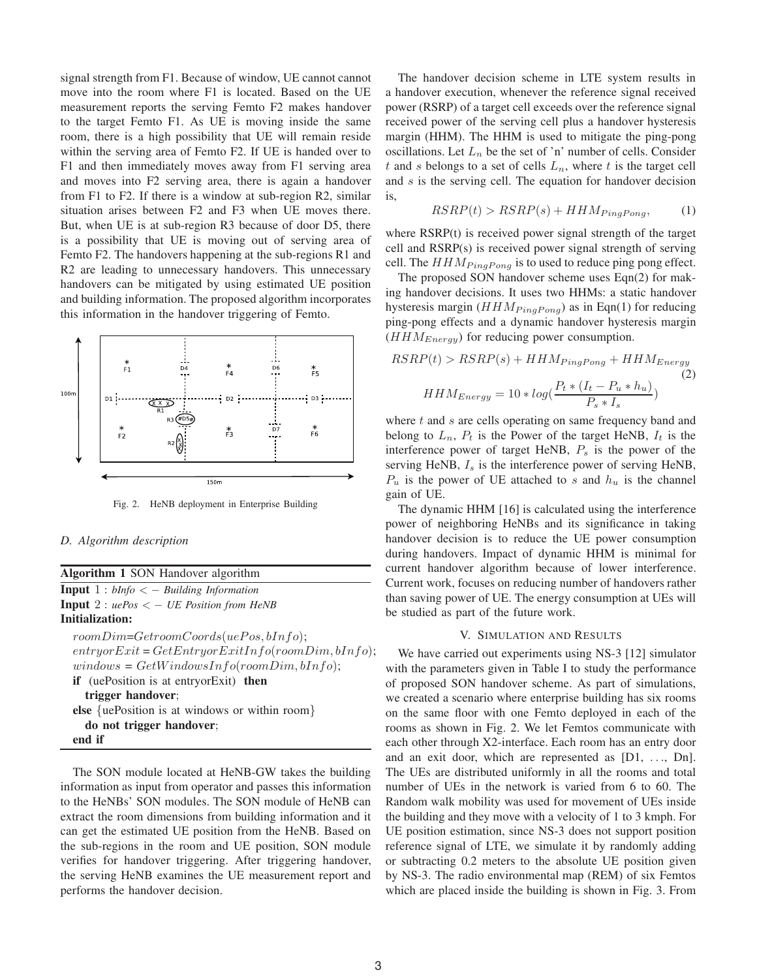signal strength from F1. Because of window, UE cannot cannot move into the room where F1 is located. Based on the UE measurement reports the serving Femto F2 makes handover to the target Femto F1. As UE is moving inside the same room, there is a high possibility that UE will remain reside within the serving area of Femto F2. If UE is handed over to F1 and then immediately moves away from F1 serving area and moves into F2 serving area, there is again a handover from F1 to F2. If there is a window at sub-region R2, similar situation arises between F2 and F3 when UE moves there. But, when UE is at sub-region R3 because of door D5, there is a possibility that UE is moving out of serving area of Femto F2. The handovers happening at the sub-regions R1 and R2 are leading to unnecessary handovers. This unnecessary handovers can be mitigated by using estimated UE position and building information. The proposed algorithm incorporates this information in the handover triggering of Femto.



Fig. 2. HeNB deployment in Enterprise Building

#### *D. Algorithm description*

| <b>Algorithm 1 SON Handover algorithm</b> |  |  |  |  |
|-------------------------------------------|--|--|--|--|
|-------------------------------------------|--|--|--|--|

Input 1 : *bInfo* < − *Building Information* Input 2 : *uePos* < − *UE Position from HeNB* Initialization:

 $roomDim = GetroomCoordinates(uePos, bInfo);$  $entropyExit = GetEntry orExitInfo(roomDim, bInfo);$  $windows = GetWindowsInfo(roomDim, bInfo);$ if (uePosition is at entryorExit) then trigger handover; else {uePosition is at windows or within room} do not trigger handover; end if

The SON module located at HeNB-GW takes the building information as input from operator and passes this information to the HeNBs' SON modules. The SON module of HeNB can extract the room dimensions from building information and it can get the estimated UE position from the HeNB. Based on the sub-regions in the room and UE position, SON module verifies for handover triggering. After triggering handover, the serving HeNB examines the UE measurement report and performs the handover decision.

The handover decision scheme in LTE system results in a handover execution, whenever the reference signal received power (RSRP) of a target cell exceeds over the reference signal received power of the serving cell plus a handover hysteresis margin (HHM). The HHM is used to mitigate the ping-pong oscillations. Let  $L_n$  be the set of 'n' number of cells. Consider t and s belongs to a set of cells  $L_n$ , where t is the target cell and  $s$  is the serving cell. The equation for handover decision is,

$$
RSRP(t) > RSRP(s) + HHM_{PingPong}, \qquad (1)
$$

where RSRP(t) is received power signal strength of the target cell and RSRP(s) is received power signal strength of serving cell. The  $HHM_{PingPong}$  is to used to reduce ping pong effect.

The proposed SON handover scheme uses Eqn(2) for making handover decisions. It uses two HHMs: a static handover hysteresis margin ( $HHM_{PinqP onq}$ ) as in Eqn(1) for reducing ping-pong effects and a dynamic handover hysteresis margin  $(HHM_{Energy})$  for reducing power consumption.

$$
RSRP(t) > RSRP(s) + HHM_{PingPong} + HHM_{Energy}
$$
\n
$$
(2)
$$
\n
$$
HHM_{Energy} = 10 * log(\frac{P_t * (I_t - P_u * h_u)}{P_s * I_s})
$$

where  $t$  and  $s$  are cells operating on same frequency band and belong to  $L_n$ ,  $P_t$  is the Power of the target HeNB,  $I_t$  is the interference power of target HeNB,  $P_s$  is the power of the serving HeNB,  $I_s$  is the interference power of serving HeNB,  $P_u$  is the power of UE attached to s and  $h_u$  is the channel gain of UE.

The dynamic HHM [16] is calculated using the interference power of neighboring HeNBs and its significance in taking handover decision is to reduce the UE power consumption during handovers. Impact of dynamic HHM is minimal for current handover algorithm because of lower interference. Current work, focuses on reducing number of handovers rather than saving power of UE. The energy consumption at UEs will be studied as part of the future work.

#### V. SIMULATION AND RESULTS

We have carried out experiments using NS-3 [12] simulator with the parameters given in Table I to study the performance of proposed SON handover scheme. As part of simulations, we created a scenario where enterprise building has six rooms on the same floor with one Femto deployed in each of the rooms as shown in Fig. 2. We let Femtos communicate with each other through X2-interface. Each room has an entry door and an exit door, which are represented as [D1, ..., Dn]. The UEs are distributed uniformly in all the rooms and total number of UEs in the network is varied from 6 to 60. The Random walk mobility was used for movement of UEs inside the building and they move with a velocity of 1 to 3 kmph. For UE position estimation, since NS-3 does not support position reference signal of LTE, we simulate it by randomly adding or subtracting 0.2 meters to the absolute UE position given by NS-3. The radio environmental map (REM) of six Femtos which are placed inside the building is shown in Fig. 3. From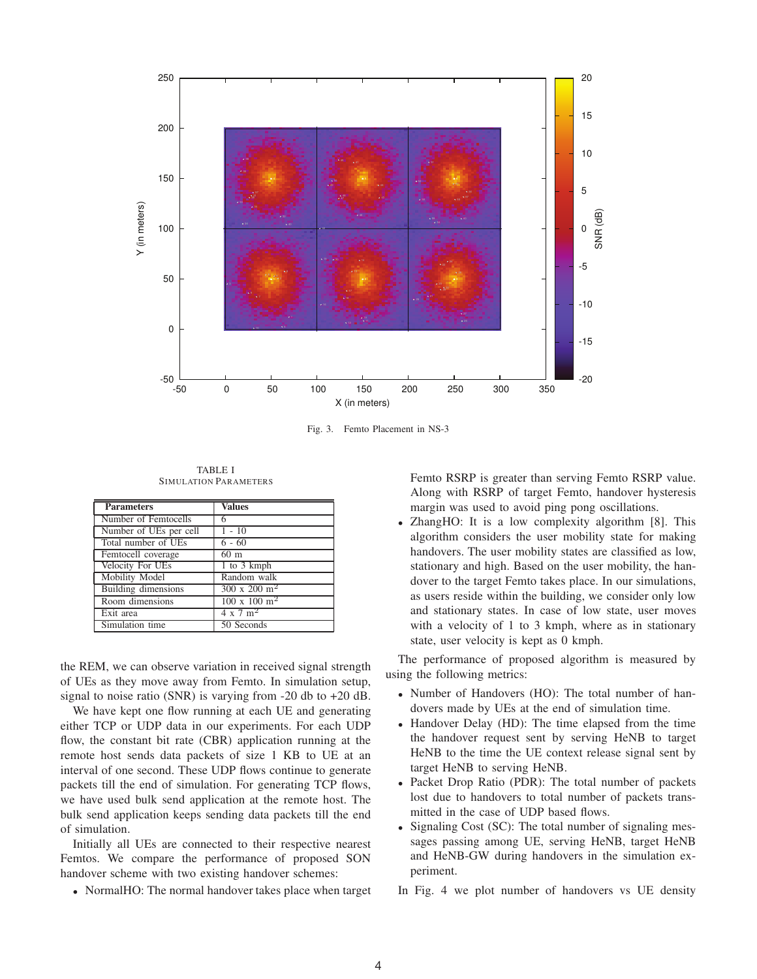

Fig. 3. Femto Placement in NS-3

TABLE I SIMULATION PARAMETERS

| <b>Parameters</b>      | <b>Values</b>                |  |
|------------------------|------------------------------|--|
| Number of Femtocells   | 6                            |  |
| Number of UEs per cell | $1 - 10$                     |  |
| Total number of UEs    | $6 - 60$                     |  |
| Femtocell coverage     | 60 <sub>m</sub>              |  |
| Velocity For UEs       | 1 to 3 kmph                  |  |
| Mobility Model         | Random walk                  |  |
| Building dimensions    | 300 x $200 \text{ m}^2$      |  |
| Room dimensions        | $100 \times 100 \text{ m}^2$ |  |
| Exit area              | $4 \times 7$ m <sup>2</sup>  |  |
| Simulation time        | 50 Seconds                   |  |

the REM, we can observe variation in received signal strength of UEs as they move away from Femto. In simulation setup, signal to noise ratio (SNR) is varying from -20 db to +20 dB.

We have kept one flow running at each UE and generating either TCP or UDP data in our experiments. For each UDP flow, the constant bit rate (CBR) application running at the remote host sends data packets of size 1 KB to UE at an interval of one second. These UDP flows continue to generate packets till the end of simulation. For generating TCP flows, we have used bulk send application at the remote host. The bulk send application keeps sending data packets till the end of simulation.

Initially all UEs are connected to their respective nearest Femtos. We compare the performance of proposed SON handover scheme with two existing handover schemes:

• NormalHO: The normal handover takes place when target

Femto RSRP is greater than serving Femto RSRP value. Along with RSRP of target Femto, handover hysteresis margin was used to avoid ping pong oscillations.

• ZhangHO: It is a low complexity algorithm [8]. This algorithm considers the user mobility state for making handovers. The user mobility states are classified as low, stationary and high. Based on the user mobility, the handover to the target Femto takes place. In our simulations, as users reside within the building, we consider only low and stationary states. In case of low state, user moves with a velocity of 1 to 3 kmph, where as in stationary state, user velocity is kept as 0 kmph.

The performance of proposed algorithm is measured by using the following metrics:

- Number of Handovers (HO): The total number of handovers made by UEs at the end of simulation time.
- Handover Delay (HD): The time elapsed from the time the handover request sent by serving HeNB to target HeNB to the time the UE context release signal sent by target HeNB to serving HeNB.
- Packet Drop Ratio (PDR): The total number of packets lost due to handovers to total number of packets transmitted in the case of UDP based flows.
- Signaling Cost (SC): The total number of signaling messages passing among UE, serving HeNB, target HeNB and HeNB-GW during handovers in the simulation experiment.

In Fig. 4 we plot number of handovers vs UE density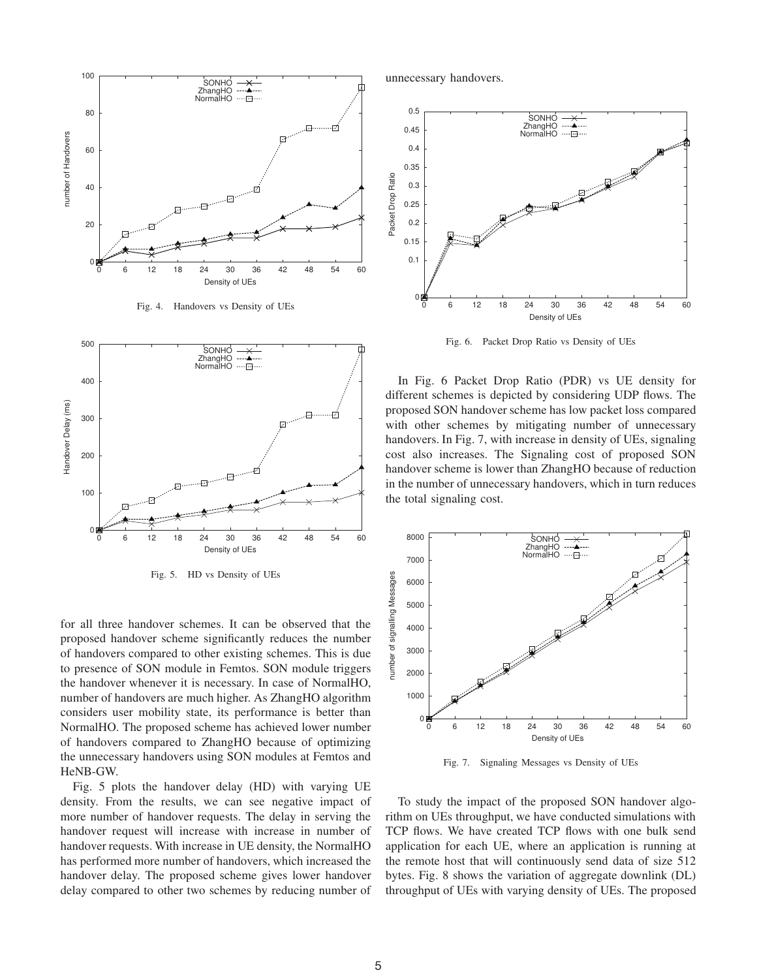





Fig. 5. HD vs Density of UEs

for all three handover schemes. It can be observed that the proposed handover scheme significantly reduces the number of handovers compared to other existing schemes. This is due to presence of SON module in Femtos. SON module triggers the handover whenever it is necessary. In case of NormalHO, number of handovers are much higher. As ZhangHO algorithm considers user mobility state, its performance is better than NormalHO. The proposed scheme has achieved lower number of handovers compared to ZhangHO because of optimizing the unnecessary handovers using SON modules at Femtos and HeNB-GW.

Fig. 5 plots the handover delay (HD) with varying UE density. From the results, we can see negative impact of more number of handover requests. The delay in serving the handover request will increase with increase in number of handover requests. With increase in UE density, the NormalHO has performed more number of handovers, which increased the handover delay. The proposed scheme gives lower handover delay compared to other two schemes by reducing number of unnecessary handovers.



Fig. 6. Packet Drop Ratio vs Density of UEs

In Fig. 6 Packet Drop Ratio (PDR) vs UE density for different schemes is depicted by considering UDP flows. The proposed SON handover scheme has low packet loss compared with other schemes by mitigating number of unnecessary handovers. In Fig. 7, with increase in density of UEs, signaling cost also increases. The Signaling cost of proposed SON handover scheme is lower than ZhangHO because of reduction in the number of unnecessary handovers, which in turn reduces the total signaling cost.



Fig. 7. Signaling Messages vs Density of UEs

To study the impact of the proposed SON handover algorithm on UEs throughput, we have conducted simulations with TCP flows. We have created TCP flows with one bulk send application for each UE, where an application is running at the remote host that will continuously send data of size 512 bytes. Fig. 8 shows the variation of aggregate downlink (DL) throughput of UEs with varying density of UEs. The proposed